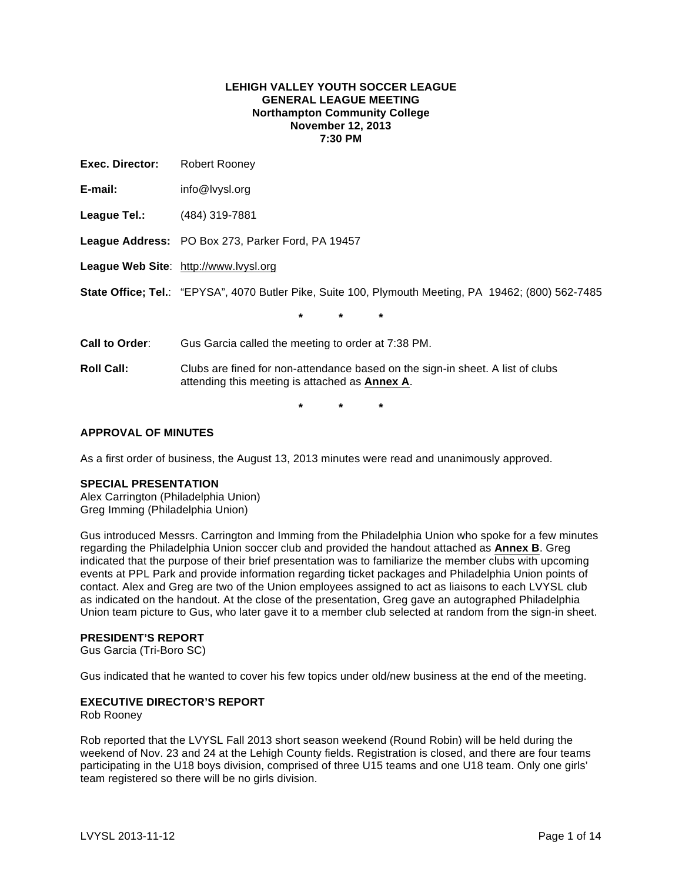### **LEHIGH VALLEY YOUTH SOCCER LEAGUE GENERAL LEAGUE MEETING Northampton Community College November 12, 2013 7:30 PM**

| Exec. Director:   | Robert Rooney                                                                                                                           |  |  |  |  |  |
|-------------------|-----------------------------------------------------------------------------------------------------------------------------------------|--|--|--|--|--|
| E-mail:           | info@lvysl.org                                                                                                                          |  |  |  |  |  |
| League Tel.:      | (484) 319-7881                                                                                                                          |  |  |  |  |  |
|                   | League Address: PO Box 273, Parker Ford, PA 19457                                                                                       |  |  |  |  |  |
|                   | League Web Site: http://www.lvysl.org                                                                                                   |  |  |  |  |  |
|                   | State Office; Tel.: "EPYSA", 4070 Butler Pike, Suite 100, Plymouth Meeting, PA 19462; (800) 562-7485                                    |  |  |  |  |  |
|                   | $\star$<br>$\star$<br>*                                                                                                                 |  |  |  |  |  |
| Call to Order:    | Gus Garcia called the meeting to order at 7:38 PM.                                                                                      |  |  |  |  |  |
| <b>Roll Call:</b> | Clubs are fined for non-attendance based on the sign-in sheet. A list of clubs<br>attending this meeting is attached as <b>Annex A.</b> |  |  |  |  |  |
|                   | *<br>*<br>*                                                                                                                             |  |  |  |  |  |

### **APPROVAL OF MINUTES**

As a first order of business, the August 13, 2013 minutes were read and unanimously approved.

### **SPECIAL PRESENTATION**

Alex Carrington (Philadelphia Union) Greg Imming (Philadelphia Union)

Gus introduced Messrs. Carrington and Imming from the Philadelphia Union who spoke for a few minutes regarding the Philadelphia Union soccer club and provided the handout attached as **Annex B**. Greg indicated that the purpose of their brief presentation was to familiarize the member clubs with upcoming events at PPL Park and provide information regarding ticket packages and Philadelphia Union points of contact. Alex and Greg are two of the Union employees assigned to act as liaisons to each LVYSL club as indicated on the handout. At the close of the presentation, Greg gave an autographed Philadelphia Union team picture to Gus, who later gave it to a member club selected at random from the sign-in sheet.

### **PRESIDENT'S REPORT**

Gus Garcia (Tri-Boro SC)

Gus indicated that he wanted to cover his few topics under old/new business at the end of the meeting.

### **EXECUTIVE DIRECTOR'S REPORT**

Rob Rooney

Rob reported that the LVYSL Fall 2013 short season weekend (Round Robin) will be held during the weekend of Nov. 23 and 24 at the Lehigh County fields. Registration is closed, and there are four teams participating in the U18 boys division, comprised of three U15 teams and one U18 team. Only one girls' team registered so there will be no girls division.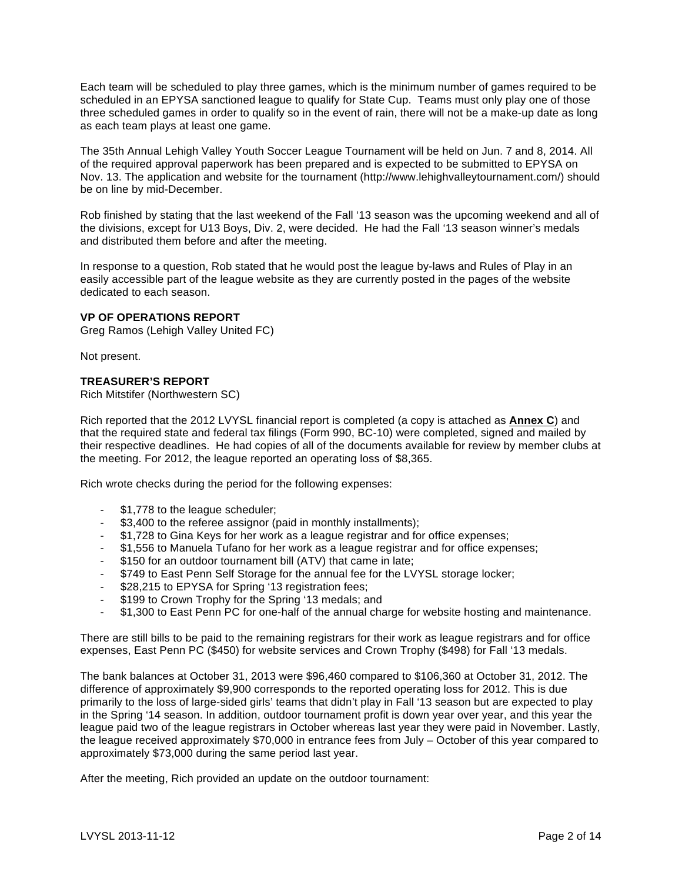Each team will be scheduled to play three games, which is the minimum number of games required to be scheduled in an EPYSA sanctioned league to qualify for State Cup. Teams must only play one of those three scheduled games in order to qualify so in the event of rain, there will not be a make-up date as long as each team plays at least one game.

The 35th Annual Lehigh Valley Youth Soccer League Tournament will be held on Jun. 7 and 8, 2014. All of the required approval paperwork has been prepared and is expected to be submitted to EPYSA on Nov. 13. The application and website for the tournament (http://www.lehighvalleytournament.com/) should be on line by mid-December.

Rob finished by stating that the last weekend of the Fall '13 season was the upcoming weekend and all of the divisions, except for U13 Boys, Div. 2, were decided. He had the Fall '13 season winner's medals and distributed them before and after the meeting.

In response to a question, Rob stated that he would post the league by-laws and Rules of Play in an easily accessible part of the league website as they are currently posted in the pages of the website dedicated to each season.

### **VP OF OPERATIONS REPORT**

Greg Ramos (Lehigh Valley United FC)

Not present.

### **TREASURER'S REPORT**

Rich Mitstifer (Northwestern SC)

Rich reported that the 2012 LVYSL financial report is completed (a copy is attached as **Annex C**) and that the required state and federal tax filings (Form 990, BC-10) were completed, signed and mailed by their respective deadlines. He had copies of all of the documents available for review by member clubs at the meeting. For 2012, the league reported an operating loss of \$8,365.

Rich wrote checks during the period for the following expenses:

- \$1,778 to the league scheduler;
- \$3,400 to the referee assignor (paid in monthly installments);
- \$1,728 to Gina Keys for her work as a league registrar and for office expenses;
- \$1,556 to Manuela Tufano for her work as a league registrar and for office expenses;
- \$150 for an outdoor tournament bill (ATV) that came in late;
- \$749 to East Penn Self Storage for the annual fee for the LVYSL storage locker;
- \$28,215 to EPYSA for Spring '13 registration fees;
- \$199 to Crown Trophy for the Spring '13 medals; and
- \$1,300 to East Penn PC for one-half of the annual charge for website hosting and maintenance.

There are still bills to be paid to the remaining registrars for their work as league registrars and for office expenses, East Penn PC (\$450) for website services and Crown Trophy (\$498) for Fall '13 medals.

The bank balances at October 31, 2013 were \$96,460 compared to \$106,360 at October 31, 2012. The difference of approximately \$9,900 corresponds to the reported operating loss for 2012. This is due primarily to the loss of large-sided girls' teams that didn't play in Fall '13 season but are expected to play in the Spring '14 season. In addition, outdoor tournament profit is down year over year, and this year the league paid two of the league registrars in October whereas last year they were paid in November. Lastly, the league received approximately \$70,000 in entrance fees from July – October of this year compared to approximately \$73,000 during the same period last year.

After the meeting, Rich provided an update on the outdoor tournament: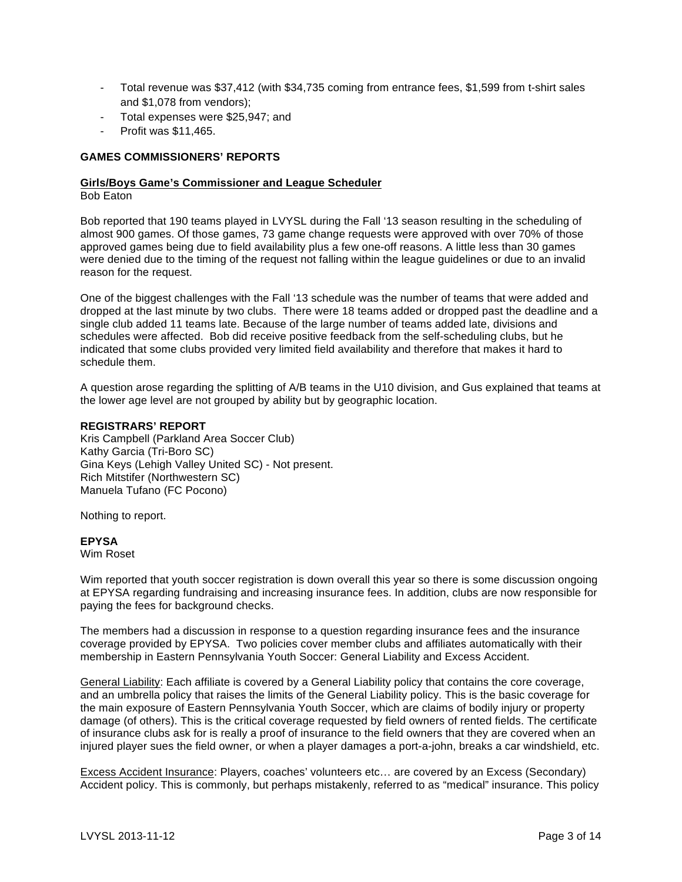- Total revenue was \$37,412 (with \$34,735 coming from entrance fees, \$1,599 from t-shirt sales and \$1,078 from vendors);
- Total expenses were \$25,947; and
- Profit was \$11,465.

### **GAMES COMMISSIONERS' REPORTS**

### **Girls/Boys Game's Commissioner and League Scheduler**

Bob Eaton

Bob reported that 190 teams played in LVYSL during the Fall '13 season resulting in the scheduling of almost 900 games. Of those games, 73 game change requests were approved with over 70% of those approved games being due to field availability plus a few one-off reasons. A little less than 30 games were denied due to the timing of the request not falling within the league guidelines or due to an invalid reason for the request.

One of the biggest challenges with the Fall '13 schedule was the number of teams that were added and dropped at the last minute by two clubs. There were 18 teams added or dropped past the deadline and a single club added 11 teams late. Because of the large number of teams added late, divisions and schedules were affected. Bob did receive positive feedback from the self-scheduling clubs, but he indicated that some clubs provided very limited field availability and therefore that makes it hard to schedule them.

A question arose regarding the splitting of A/B teams in the U10 division, and Gus explained that teams at the lower age level are not grouped by ability but by geographic location.

### **REGISTRARS' REPORT**

Kris Campbell (Parkland Area Soccer Club) Kathy Garcia (Tri-Boro SC) Gina Keys (Lehigh Valley United SC) - Not present. Rich Mitstifer (Northwestern SC) Manuela Tufano (FC Pocono)

Nothing to report.

### **EPYSA**

Wim Roset

Wim reported that youth soccer registration is down overall this year so there is some discussion ongoing at EPYSA regarding fundraising and increasing insurance fees. In addition, clubs are now responsible for paying the fees for background checks.

The members had a discussion in response to a question regarding insurance fees and the insurance coverage provided by EPYSA. Two policies cover member clubs and affiliates automatically with their membership in Eastern Pennsylvania Youth Soccer: General Liability and Excess Accident.

General Liability: Each affiliate is covered by a General Liability policy that contains the core coverage, and an umbrella policy that raises the limits of the General Liability policy. This is the basic coverage for the main exposure of Eastern Pennsylvania Youth Soccer, which are claims of bodily injury or property damage (of others). This is the critical coverage requested by field owners of rented fields. The certificate of insurance clubs ask for is really a proof of insurance to the field owners that they are covered when an injured player sues the field owner, or when a player damages a port-a-john, breaks a car windshield, etc.

Excess Accident Insurance: Players, coaches' volunteers etc… are covered by an Excess (Secondary) Accident policy. This is commonly, but perhaps mistakenly, referred to as "medical" insurance. This policy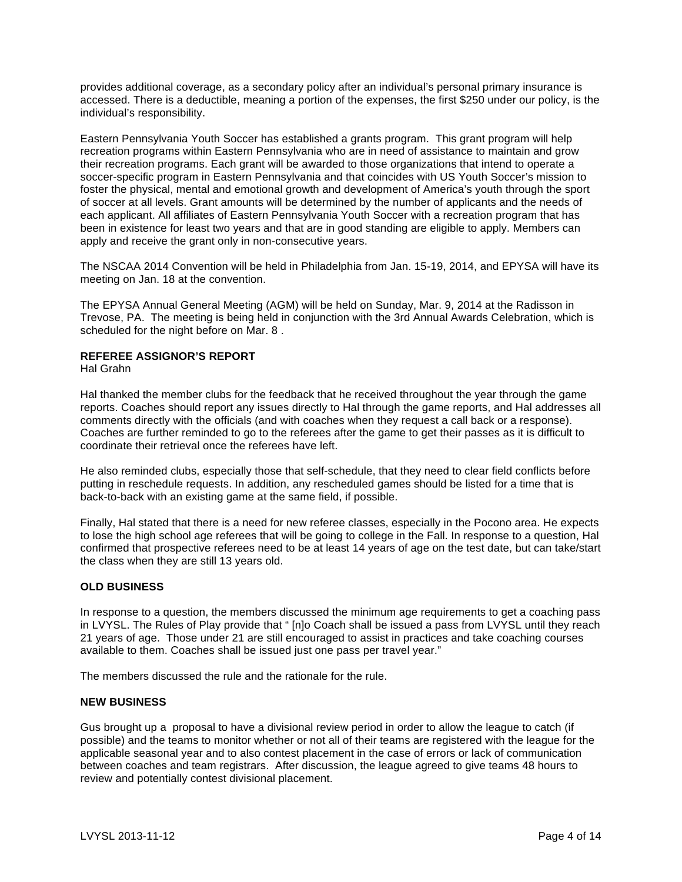provides additional coverage, as a secondary policy after an individual's personal primary insurance is accessed. There is a deductible, meaning a portion of the expenses, the first \$250 under our policy, is the individual's responsibility.

Eastern Pennsylvania Youth Soccer has established a grants program. This grant program will help recreation programs within Eastern Pennsylvania who are in need of assistance to maintain and grow their recreation programs. Each grant will be awarded to those organizations that intend to operate a soccer-specific program in Eastern Pennsylvania and that coincides with US Youth Soccer's mission to foster the physical, mental and emotional growth and development of America's youth through the sport of soccer at all levels. Grant amounts will be determined by the number of applicants and the needs of each applicant. All affiliates of Eastern Pennsylvania Youth Soccer with a recreation program that has been in existence for least two years and that are in good standing are eligible to apply. Members can apply and receive the grant only in non-consecutive years.

The NSCAA 2014 Convention will be held in Philadelphia from Jan. 15-19, 2014, and EPYSA will have its meeting on Jan. 18 at the convention.

The EPYSA Annual General Meeting (AGM) will be held on Sunday, Mar. 9, 2014 at the Radisson in Trevose, PA. The meeting is being held in conjunction with the 3rd Annual Awards Celebration, which is scheduled for the night before on Mar. 8 .

### **REFEREE ASSIGNOR'S REPORT**

Hal Grahn

Hal thanked the member clubs for the feedback that he received throughout the year through the game reports. Coaches should report any issues directly to Hal through the game reports, and Hal addresses all comments directly with the officials (and with coaches when they request a call back or a response). Coaches are further reminded to go to the referees after the game to get their passes as it is difficult to coordinate their retrieval once the referees have left.

He also reminded clubs, especially those that self-schedule, that they need to clear field conflicts before putting in reschedule requests. In addition, any rescheduled games should be listed for a time that is back-to-back with an existing game at the same field, if possible.

Finally, Hal stated that there is a need for new referee classes, especially in the Pocono area. He expects to lose the high school age referees that will be going to college in the Fall. In response to a question, Hal confirmed that prospective referees need to be at least 14 years of age on the test date, but can take/start the class when they are still 13 years old.

### **OLD BUSINESS**

In response to a question, the members discussed the minimum age requirements to get a coaching pass in LVYSL. The Rules of Play provide that " [n]o Coach shall be issued a pass from LVYSL until they reach 21 years of age. Those under 21 are still encouraged to assist in practices and take coaching courses available to them. Coaches shall be issued just one pass per travel year."

The members discussed the rule and the rationale for the rule.

### **NEW BUSINESS**

Gus brought up a proposal to have a divisional review period in order to allow the league to catch (if possible) and the teams to monitor whether or not all of their teams are registered with the league for the applicable seasonal year and to also contest placement in the case of errors or lack of communication between coaches and team registrars. After discussion, the league agreed to give teams 48 hours to review and potentially contest divisional placement.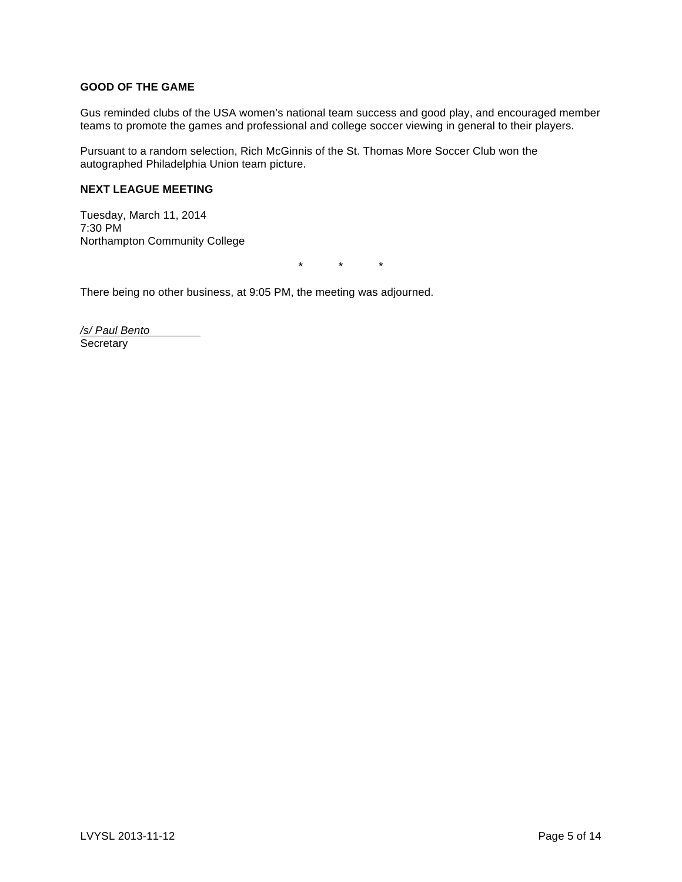### **GOOD OF THE GAME**

Gus reminded clubs of the USA women's national team success and good play, and encouraged member teams to promote the games and professional and college soccer viewing in general to their players.

Pursuant to a random selection, Rich McGinnis of the St. Thomas More Soccer Club won the autographed Philadelphia Union team picture.

### **NEXT LEAGUE MEETING**

Tuesday, March 11, 2014 7:30 PM Northampton Community College

\* \* \*

There being no other business, at 9:05 PM, the meeting was adjourned.

/s/ Paul Bento **Secretary**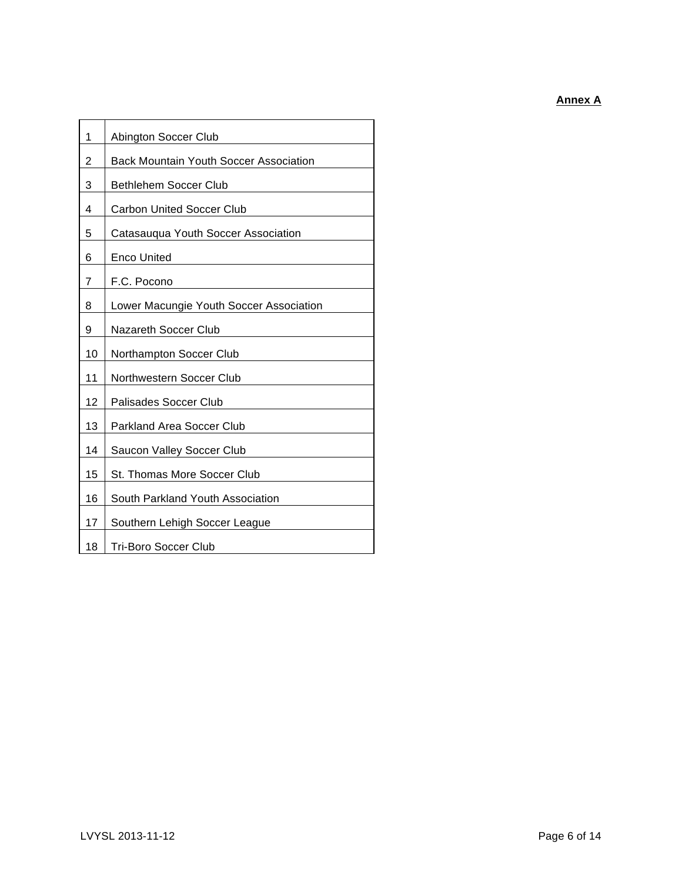**Annex A**

| 1  | Abington Soccer Club                          |  |
|----|-----------------------------------------------|--|
| 2  | <b>Back Mountain Youth Soccer Association</b> |  |
| 3  | <b>Bethlehem Soccer Club</b>                  |  |
| 4  | <b>Carbon United Soccer Club</b>              |  |
| 5  | Catasauqua Youth Soccer Association           |  |
| 6  | <b>Enco United</b>                            |  |
| 7  | F.C. Pocono                                   |  |
| 8  | Lower Macungie Youth Soccer Association       |  |
| 9  | Nazareth Soccer Club                          |  |
| 10 | Northampton Soccer Club                       |  |
| 11 | Northwestern Soccer Club                      |  |
| 12 | Palisades Soccer Club                         |  |
| 13 | <b>Parkland Area Soccer Club</b>              |  |
| 14 | Saucon Valley Soccer Club                     |  |
| 15 | St. Thomas More Soccer Club                   |  |
| 16 | South Parkland Youth Association              |  |
| 17 | Southern Lehigh Soccer League                 |  |
| 18 | <b>Tri-Boro Soccer Club</b>                   |  |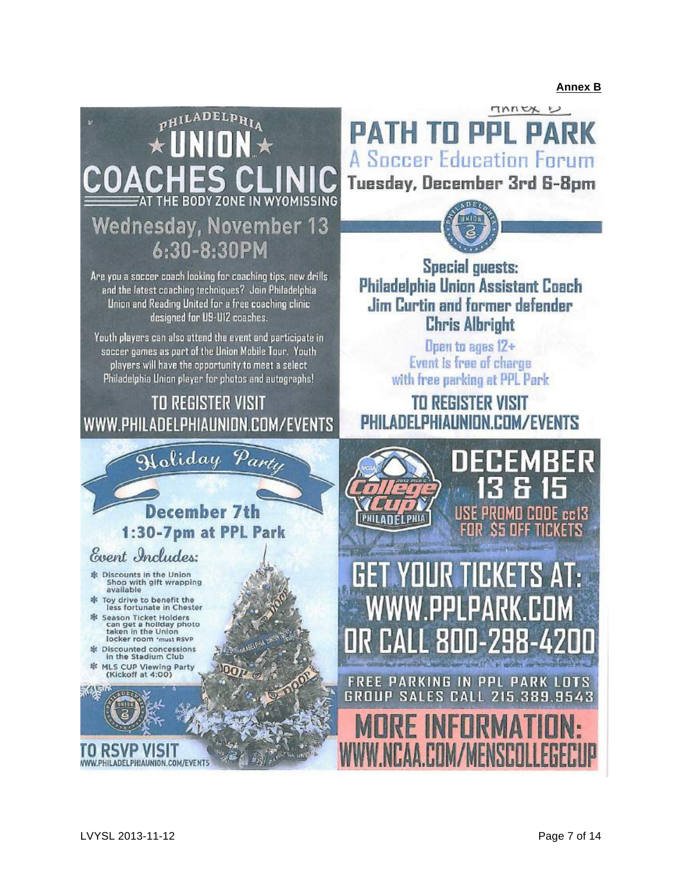**Annex B**

# PHILADELPHIA **Wednesday, November 13** 6:30-8:30PM

Are you a soccer coach looking for coaching tips, new drills and the latest coaching techniques? Join Philadelphia Union and Reading United for a free coaching clinic designed for U9-U12 coaches.

Youth players can also attend the event and participate in soccer games as part of the Union Mobile Tour. Youth players will have the opportunity to meet a select Philadelphia Union player for photos and autographs!

### **TO REGISTER VISIT** WWW.PHILADELPHIAUNION.COM/EVENTS

Doliday

Event Includes:

※ Discounts in the Union Shop with gift wrapping<br>available Toy drive to benefit the

E Discounted concessions<br>in the Stadium Club 非 MLS CUP Viewing Party<br>(Kickoff at 4:00)

长人的

less fortunate in Chester Season Ticket Holders<br>can get a hollday photo<br>taken in the Union<br>locker room 'must RSVP

MARK **PATH TO PPL P A Soccer Education Forum** Tuesday, December 3rd 6-8pm



**Special guests:** Philadelphia Union Assistant Coach Jim Curtin and former defender **Chris Albright** 

> Open to ages 12+ **Event is free of charge** with free parking at PPL Park

**TO REGISTER VISIT** PHILADELPHIALINIDN.COM/EVENTS



TO RSVP VISIT

WWW.PHILADELPHIAUNION.COM/EVENT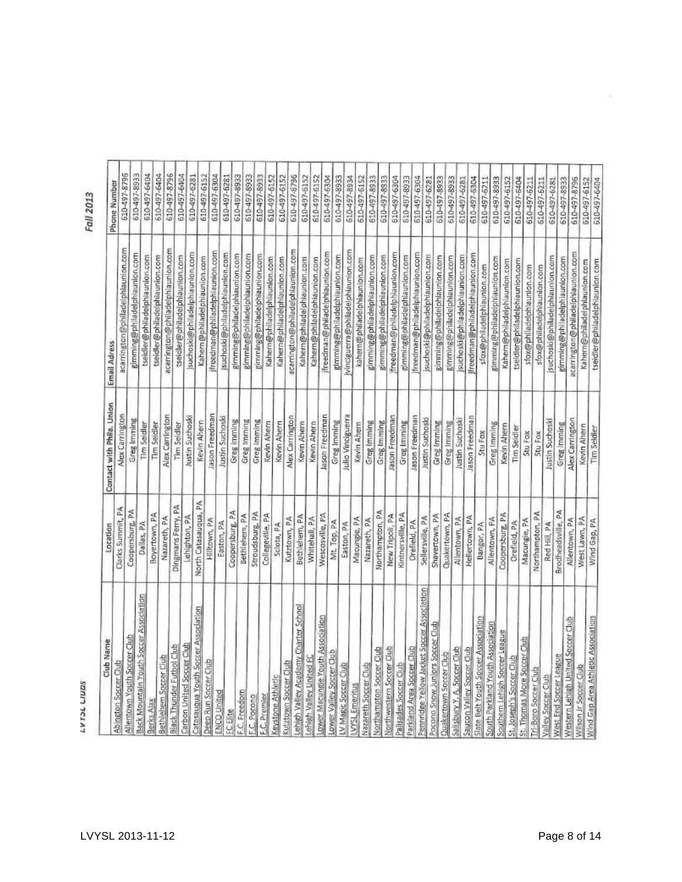SQNJ3 TCAAT

Fall 2013

| Club Name                                 | Location             | Contact with Phila. Union | Email Adress                      |                              |
|-------------------------------------------|----------------------|---------------------------|-----------------------------------|------------------------------|
| <b>Abington Soccer Oub</b>                | Clarks Summit, PA    | Alex Carrington           | acarrington@philadelphiaunion.com | 610-497-8796<br>Phone Number |
| Allentown Youth Soccer Club               | Coopersburg, PA      | Greg Imming               | gimming@philadelphiaunlon.com     |                              |
| Back Mountain Youth Soccer Association    | Dallas, PA           | Tim Seidler               | tseidler@philadelphiaunion.com    | 610-497-8933                 |
| Berks Ajax                                | Boyertown, PA        | Tim Seidler               | tseidler@philadelphiaunion.com    | 610-497-6404                 |
| Bethlehem Socrer Club                     | Nazareth, PA         | Alex Carrington           | acarrington@philadelphiaunlon.com | 610-497-6404                 |
| <b>Black Thunder Futbol Club</b>          | Dingmans Ferry, PA   | Tim Seidler               | tseidler@philadelphlaunion.com    | 610-497-8796                 |
| Carbon United Soccer Club                 | ehighton, PA         | Justin Suchoski           | isuchoski@philadelphiaunion.com   | 610-497-6404<br>610-497-6281 |
| Catasaugua Youth Soccer Association       | North Catasauqua, PA | Kevin Ahern               | Kahem@philadelphiaunion.com       |                              |
| Deep Run Soccer Club                      | Hilltown, PA         | ason Freedman             | jfreedman@philadelphlaunion.com   | 610-497-6152<br>610-497-6304 |
| <b>ENCO United</b>                        | Easton, PA           | Justin Suchoski           | suchoski@philadelphiaunion.com    | 610-497-6281                 |
| FC Elite                                  | Coopersburg, PA      | Greg Imming               | gimming@philadelphiaunion.com     | 610-497-8933                 |
| F.C. Freedom                              | Bethlehem, PA        | Greg Imming               | gimming@philadelphiaunion.com     | 610-497-8933                 |
| F.C. Porono                               | Stroudsburg, PA      | Greg Imming               | gimming@philadelphilaunion.com    | 610-497-8933                 |
| <b>F.C.</b> Premier                       | Collegeville, PA     | <b>Kevin Ahem</b>         | Kahern@philadelphiaunion.com      | 610-497-6152                 |
| Keystone Athletic                         | Sciota, PA           | Kevin Ahern               | Kahern@philadelphiaunion.com      | 610-497-6152                 |
| Kutztown Soccer Club                      | Kutztown, PA         | Alex Carrington           | acarrington@philadelphlaunion.com | 610-497-8796                 |
| Lehleh Valley Academy Charter School      | Bethlehem, PA        | Kevin Ahern               | Kahern@philadelphiaunion.com      | 610-497-6152                 |
| Lehigh Valley United FC                   | Whitehall, PA        | Kevin Ahern               | Kahern@philadelphiaunion.com      | 610-497-6152                 |
| Lower Macungle Youth Association          | Wescosville, PA      | Jason Freedman            | ifreedman@philadelphiaunion.com   | 610-497-6304                 |
| Lower Valley Soccer Club                  | Mt. Top, PA          | Greg Imming               | gimming@philadelphlaunion.com     | 610-497-8933                 |
| LV Magic Soccer Club                      | Easton, PA           | Julio Vinciguerra         | Vinciguerra@philadelphiaunion.com | 610-497-8934                 |
| LVYSL Emeritus                            | Macungie, PA         | <b>Kevin Ahern</b>        | kahern@philadelphiaunion.com      | 610-497-6152                 |
| Nazareth Soccer Club                      | Nazareth, PA         | Greg Imming               | gimming@philadelphiaunion.com     | 610-497-8933                 |
| Northampton Soccer Club                   | Northampton, PA      | Greg Imming               | gimming@philadelphiaunion.com     | 610-497-8933                 |
| Northwestern Soccer Club                  | New Tripoli, PA      | Jason Freedman            | freedman@philadelphiaunion.com    | 610-497-6304                 |
| Palisades Soccer Club                     | Kintnersville, PA    | Greg Imming               | gimming@philadelphlaunion.com     | 610-497-8933                 |
| Parkland Area Soccer Club                 | Orefield, PA         | Jason Freedman            | freedman@philadelphiaunion.com    | 610-497-6304                 |
| Pennndge Yellow Jacket Soccer Association | Sellersville, PA     | Justin Suchoski           | jsuchoski@philadelphiaunion.com   | 610-497-6281                 |
| Pocona Snow Juniors Soccer Club           | Shavertown, PA       | Greg Imming               | gimming@pMladelphlaunion.com      | 610-497-8933                 |
| Quakertown Soccer Club                    | Quakertown, PA       | Greg Imming               | gimming@philadelphiaunion.com     | 610-497-8933                 |
| Salisbury Y. A. Soccer Club               | Allentown, PA        | Justin Suchosk            | jsuchoski@philadelphiaunion.com   | 610-497-6281                 |
| Saucon Valley Soccer Club                 | Hellertown, PA       | lason Freedman            | jfreedman@philadelphiaunion.com   | 610-497-6304                 |
| Slate Belt Youth Soccer Association       | Bangor, PA           | Stu Fox                   | sfox@philadelphiaunion.com        | 610-497-6211                 |
| South Parkland Youth Association          | Allentown, PA        | Greg Imming               | gimming@philadelphiaunion.com     | 610-497-8933                 |
| Southern Lehigh Soccer League             | Coopersburg, PA      | Kevin Ahern               | Kahem@philadelphiaunion.com       | 610-497-6152                 |
| St. Joseph's Soccer Oub                   | Orefield, PA         | Tim Seidler               | tseidler@philadelphiaunion.com    | 610-497-6404                 |
| St. Thomas More Soccer Club               | Macungie, PA         | Stu Fox                   | sfox@philadelphiaunion.com        | 610-497-6211                 |
| <b>Tri-Baro Saccer Club</b>               | Northampton, PA      | Stu Fox                   | sfox@philadelphlaunion.com        | 610-497-6211                 |
| Valley Soccer Club                        | Red Hill, PA         | Justin Suchoski           | isuchoski@philadelphiaunlon.com   | 610-497-6281                 |
| West End Soccer League                    | Brodheadsville, PA   | Greg Imming               | gimming@philadelphiaunion.com     | 610-497-8933                 |
| Western Lehlen United Soccer Club         | Allentown, PA        | Alex Carrington           | acarrington@philadelphiaunion.com | 610-497-8796                 |
| Wilson Jr Soccer Club                     | West Lawn, PA        | Kevin Ahern               | Kahern@philadelphlaunion.com      | 610-497-6152                 |
| Wind Gap Area Athletic Association        | Wind Gap, PA         | Tim Seidler               | tseidler@philadelphiaunion.com    | 610-497-6404                 |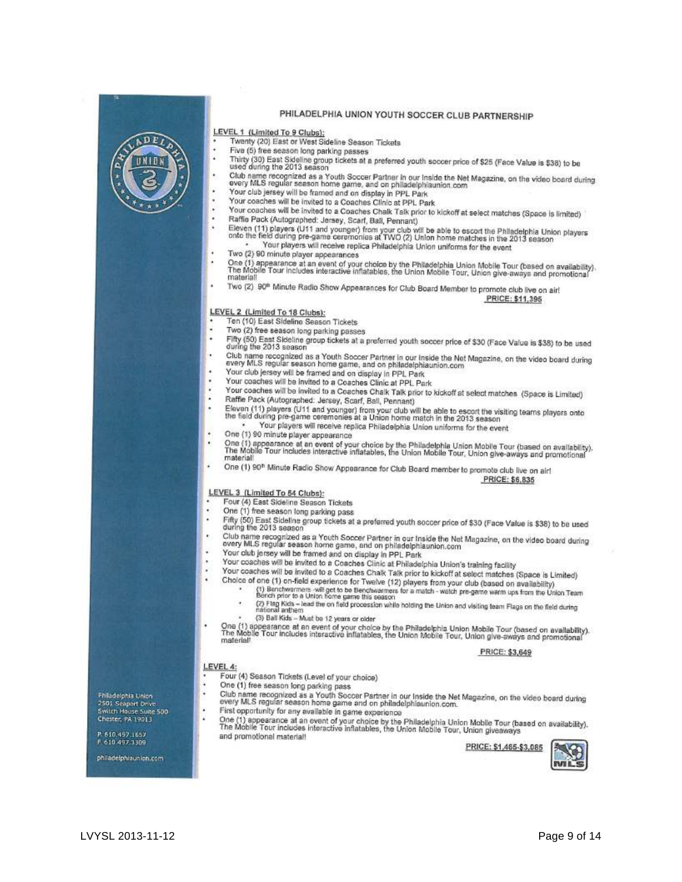

### PHILADELPHIA UNION YOUTH SOCCER CLUB PARTNERSHIP

#### LEVEL 1 (Limited To 9 Clubs):

- Twenty (20) East or West Sideline Season Tickets
- Five (5) free season long parking passes
- Thirty (30) East Sidelline granning passes<br>Thirty (30) East Sidelline group tickets at a preferred youth soccer price of \$25 (Face Value is \$38) to be<br>used during the 2013 season
- Club name recognized as a Youth Soccer Partner in our Inside the Net Magazine, on the video board during<br>every MLS regular season home game, and on philadelphiaunion.com Your club jersey will be framed and on display in PPL Park
	- Your coaches will be invited to a Coaches Clinic at PPL Park
	-
	- Your coaches will be invited to a Coaches Chalk Talk prior to kickoff at select matches (Space is limited) Raffie Pack (Autographed: Jersey, Scarf, Ball, Pennant)
	- Eleven (11) players (U11 and younger) from your club will be able to escort the Philadelphia Union players<br>onto the field during pre-game ceremonies at TWO (2) Union home matches in the 2013 season Your players will receive replica Philadelphia Union uniforms for the event
	- Two (2) 90 minute player appearances
	- One (1) appearance at an event of your choice by the Philadelphia Union Mobile Tour (based on availability).<br>The Mobile Tour includes interactive inflatables, the Union Mobile Tour, Union give-aways and promotional
	- Two (2) 90<sup>th</sup> Minute Radio Show Appearances for Club Board Member to promote club live on air!

#### PRICE: \$11,395

LEVEL 2 (Limited To 18 Clubs):

- Ten (10) East Sideline Season Tickets
- Two (2) free season long parking passes
- Fifty (50) East Sideline group tickets at a preferred youth soccer price of \$30 (Face Value is \$38) to be used during the 2013 season
- Club name recognized as a Youth Soccer Partner in our Inside the Net Magazine, on the video board during<br>every MLS regular season home game, and on philadelphiaunion.com
- Your club jersey will be framed and on display in PPL Park Your coaches will be invited to a Coaches Clinic at PPL Park
- 
- Your coaches will be invited to a Coaches Chalk Talk prior to kickoff at select matches (Space is Limited) Raffie Pack (Autographed: Jersey, Scarf, Ball, Pennant)
- Eleven (11) players (U11 and younger) from your club will be able to escort the visiting teams players onto<br>the field during pre-game ceremonies at a Union home match in the 2013 season
- Your players will receive replica Philadelphia Union uniforms for the event
- One (1) 90 minute player appearance
	- One (1) appearance at an event of your choice by the Philadelphia Union Mobile Tour (based on availability).<br>The Mobile Tour includes interactive inflatables, the Union Mobile Tour, Union give-aways and promotional
	- One (1) 90<sup>h</sup> Minute Radio Show Appearance for Club Board member to promote club live on air! PRICE: \$6,835

### LEVEL 3 (Limited To 54 Clubs):

- Four (4) East Sideline Season Tickets
- One (1) free season long parking pass
- Fifty (50) East Sideline group tickets at a preferred youth soccer price of \$30 (Face Value is \$38) to be used during the 2013 season
- Club name recognized as a Youth Soccer Partner in our Inside the Net Magazine, on the video board during<br>every MLS regular season home game, and on philadelphiaunion.com
- Your club jersey will be framed and on display in PPL Park
- Your coaches will be invited to a Coaches Clinic at Philadelphia Union's training facility
	- Your coaches will be invited to a Coaches Chalk Talk prior to kickoff at select matches (Space is Limited)
	- Choice of one (1) on-field experience for Twelve (12) players from your club (based on availability)
		- (1) Benchwarmers -will get to be Benchwarmers for a match watch pre-game warm ups from the Union Team (2) Flag Kids - lead the on field procession while holding the Union and visiting team Flags on the field during
		- (3) Ball Kids Must be 12 years or older
		-
- One (1) appearance at an event of your choice by the Philadelphia Union Mobile Tour (based on availability).<br>The Mobile Tour includes interactive inflatables, the Union Mobile Tour, Union give-aways and promotional

### PRICE: \$3,649

- Four (4) Season Tickets (Level of your choice)
- One (1) free season long parking pass
- Club name recognized as a Youth Soccer Partner in our Inside the Net Magazine, on the video board during<br>every MLS regular season home game and on philadelphiaunion.com. First opportunity for any available in game experience
- One (1) appearance at an event of your choice by the Philadelphia Union Mobile Tour (based on availability).<br>The Mobile Tour includes interactive inflatables, the Union Mobile Tour, Union givesways and promotional material!

PRICE: \$1,465-\$3,085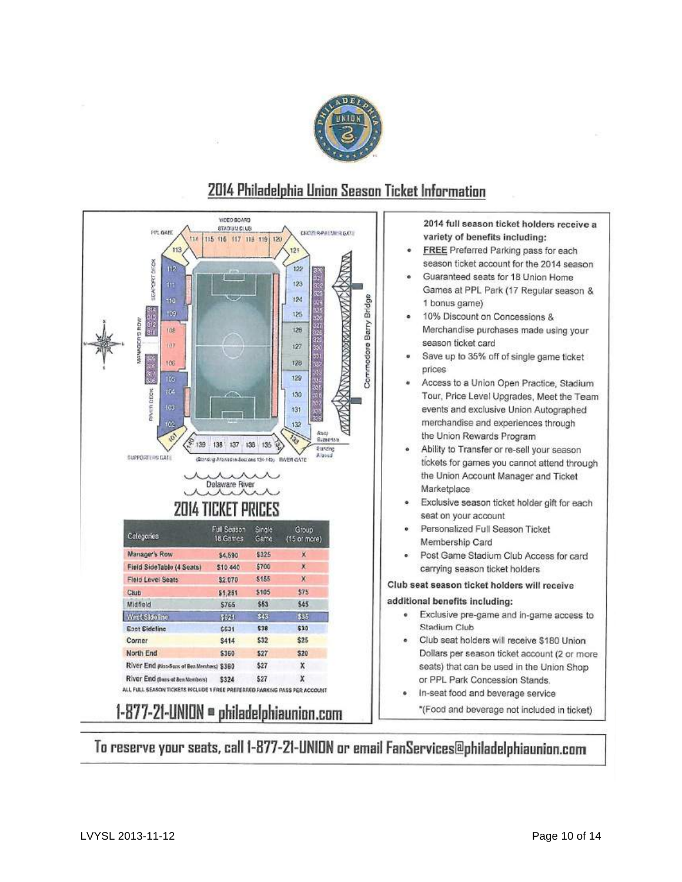



### 2014 Philadelphia Union Season Ticket Information

2014 full season ticket holders receive a variety of benefits including:

- **FREE** Preferred Parking pass for each season ticket account for the 2014 season
- Guaranteed seats for 18 Union Home Games at PPL Park (17 Regular season & 1 bonus game)
- 10% Discount on Concessions & ۰ Merchandise purchases made using your season ticket card
- Save up to 35% off of single game ticket prices
- Access to a Union Open Practice, Stadium Tour, Price Level Upgrades, Meet the Team events and exclusive Union Autographed merchandise and experiences through the Union Rewards Program
- Ability to Transfer or re-sell your season tickets for games you cannot attend through the Union Account Manager and Ticket Marketplace
- Exclusive season ticket holder gift for each seat on your account
- Personalized Full Season Ticket Membership Card
- Post Game Stadium Club Access for card carrying season ticket holders

Club seat season ticket holders will receive

### additional benefits including:

- Exclusive pre-game and in-game access to ۰ Stadium Club
- Club seat holders will receive \$180 Union Dollars per season ticket account (2 or more seats) that can be used in the Union Shop or PPL Park Concession Stands.
- In-seat food and beverage service \*(Food and beverage not included in ticket)

To reserve your seats, call 1-877-21-UNION or email FanServices@philadelphiaunion.com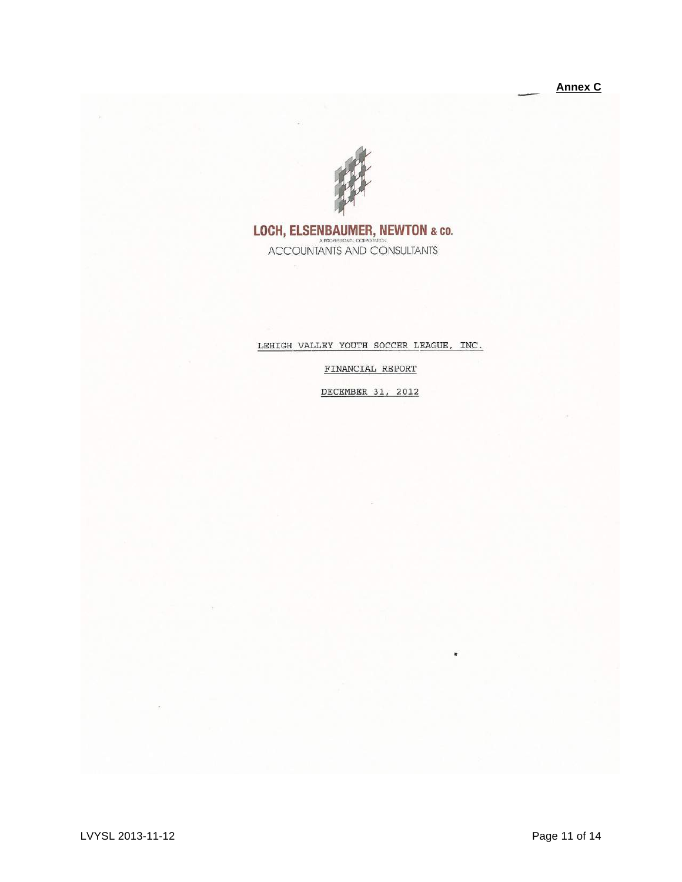

## LOCH, ELSENBAUMER, NEWTON & CO.<br>ACCOUNTANTS AND CONSULTANTS

### LEHIGH VALLEY YOUTH SOCCER LEAGUE, INC.

FINANCIAL REPORT

DECEMBER 31, 2012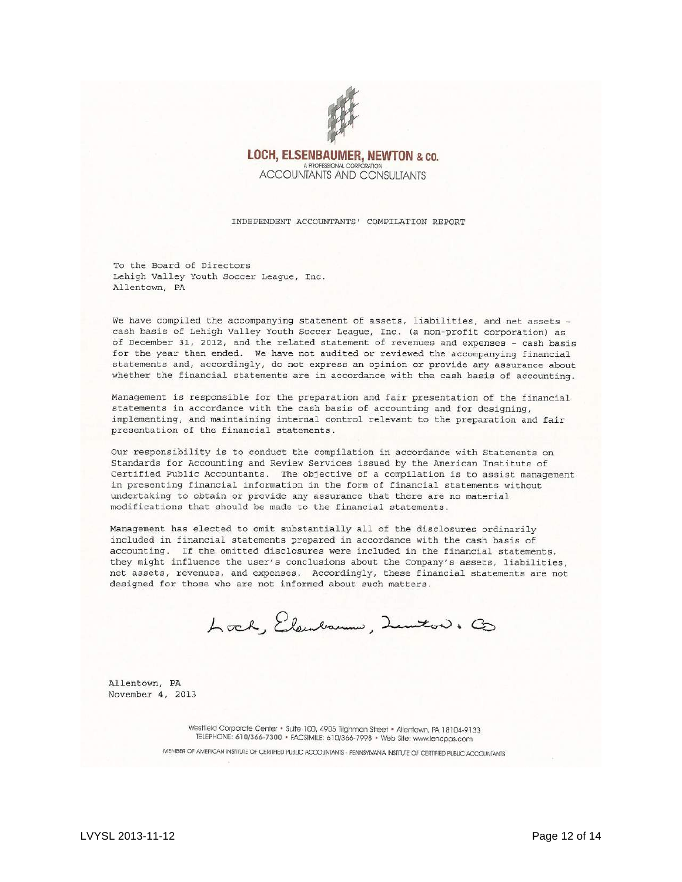

### **LOCH, ELSENBAUMER, NEWTON & CO.** A PROFESSIONAL CORPORATION **ACCOUNTANTS AND CONSULTANTS**

INDEPENDENT ACCOUNTANTS' COMPILATION REPORT

To the Board of Directors Lehigh Valley Youth Soccer League, Inc. Allentown, PA

We have compiled the accompanying statement of assets, liabilities, and net assets cash basis of Lehigh Valley Youth Soccer League, Inc. (a non-profit corporation) as of December 31, 2012, and the related statement of revenues and expenses - cash basis for the year then ended. We have not audited or reviewed the accompanying financial statements and, accordingly, do not express an opinion or provide any assurance about whether the financial statements are in accordance with the cash basis of accounting.

Management is responsible for the preparation and fair presentation of the financial statements in accordance with the cash basis of accounting and for designing, implementing, and maintaining internal control relevant to the preparation and fair presentation of the financial statements.

Our responsibility is to conduct the compilation in accordance with Statements on Standards for Accounting and Review Services issued by the American Institute of Certified Public Accountants. The objective of a compilation is to assist management in presenting financial information in the form of financial statements without undertaking to obtain or provide any assurance that there are no material modifications that should be made to the financial statements.

Management has elected to omit substantially all of the disclosures ordinarily included in financial statements prepared in accordance with the cash basis of accounting. If the omitted disclosures were included in the financial statements, they might influence the user's conclusions about the Company's assets, liabilities, net assets, revenues, and expenses. Accordingly, these financial statements are not designed for those who are not informed about such matters.

Lock, Elendraum, Lemiton. Co

Allentown, PA November 4, 2013

> Westfield Corporate Center • Suite 100, 4905 Tilghman Street • Allentown, PA 18104-9133 TELEPHONE: 610/366-7300 · FACSIMILE: 610/366-7998 · Web Site: www.lencpas.com MEMBER OF AMERICAN INSTITUTE OF CERTIFIED PUBLIC ACCOUNTANTS - PENNSYLVANIA INSTITUTE OF CERTIFIED PUBLIC ACCOUNTANTS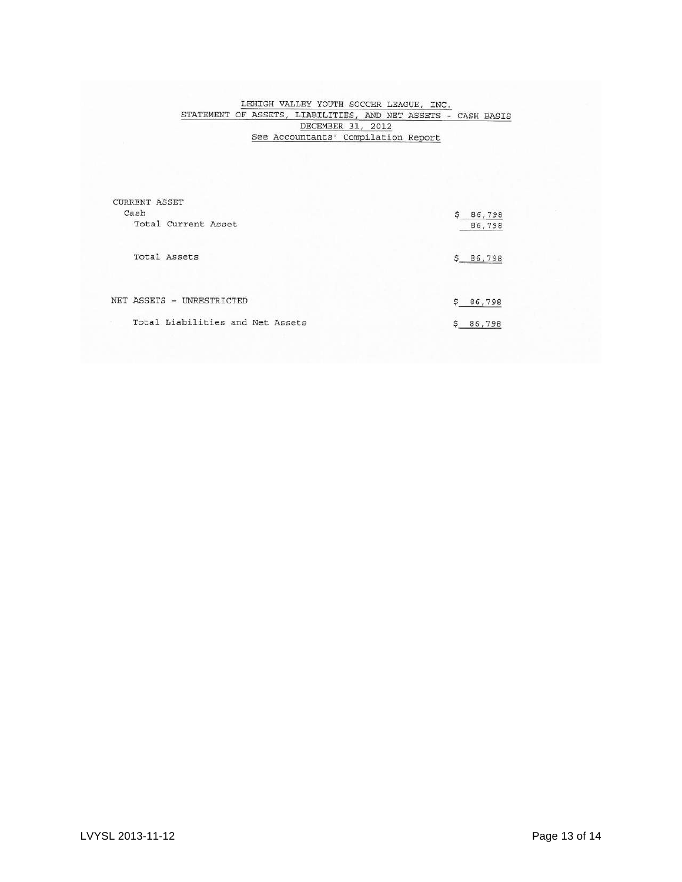# LEHIGH VALLEY YOUTH SOCCER LEAGUE, INC.<br>
STATEMENT OF ASSETS, LIABILITIES, AND NET ASSETS - CASH BASIS<br>
DECEMBER 31, 2012<br>
See Accountants' Compilation Report

| <b>CURRENT ASSET</b><br>Cash     | Ś<br>86,798            |
|----------------------------------|------------------------|
| Total Current Asset              | 86,798                 |
| Total Assets                     | Ŝ.<br>86,798           |
| NET ASSETS - UNRESTRICTED        | $\mathbf{s}$<br>86,798 |
| Total Liabilities and Net Assets | 86,798                 |